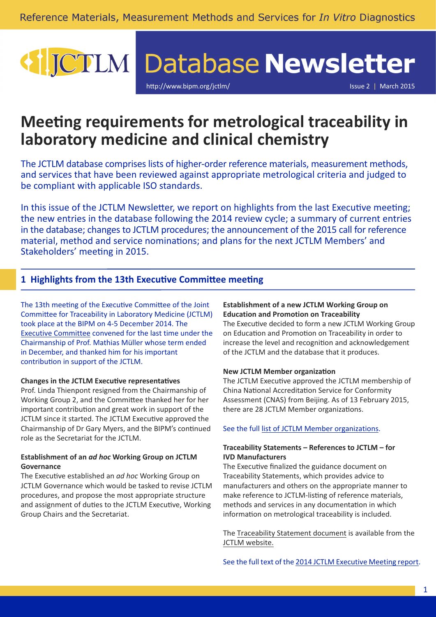# JCTLM Database Newsletter

http://www.bipm.org/ictlm/ Issue 2 | March 2015

# **Meeting requirements for metrological traceability in laboratory medicine and clinical chemistry**

The JCTLM database comprises lists of higher-order reference materials, measurement methods, and services that have been reviewed against appropriate metrological criteria and judged to be compliant with applicable ISO standards.

In this issue of the JCTLM Newsletter, we report on highlights from the last Executive meeting; the new entries in the database following the 2014 review cycle; a summary of current entries in the database; changes to JCTLM procedures; the announcement of the 2015 call for reference material, method and service nominations; and plans for the next JCTLM Members' and Stakeholders' meeting in 2015.

# **1 Highlights from the 13th Executive Committee meeting**

The 13th meeting of the Executive Committee of the Joint Committee for Traceability in Laboratory Medicine (JCTLM) took place at the BIPM on 4-5 December 2014. The [Executive Committee](http://www.bipm.org/en/committees/cc/wg/jctlm-exec.html#members) convened for the last time under the Chairmanship of Prof. Mathias Müller whose term ended in December, and thanked him for his important contribution in support of the JCTLM.

# **Changes in the JCTLM Executive representatives**

Prof. Linda Thienpont resigned from the Chairmanship of Working Group 2, and the Committee thanked her for her important contribution and great work in support of the JCTLM since it started. The JCTLM Executive approved the Chairmanship of Dr Gary Myers, and the BIPM's continued role as the Secretariat for the JCTLM.

## **Establishment of an** *ad hoc* **Working Group on JCTLM Governance**

The Executive established an *ad hoc* Working Group on JCTLM Governance which would be tasked to revise JCTLM procedures, and propose the most appropriate structure and assignment of duties to the JCTLM Executive, Working Group Chairs and the Secretariat.

## **Establishment of a new JCTLM Working Group on Education and Promotion on Traceability**

The Executive decided to form a new JCTLM Working Group on Education and Promotion on Traceability in order to increase the level and recognition and acknowledgement of the JCTLM and the database that it produces.

#### **New JCTLM Member organization**

The JCTLM Executive approved the JCTLM membership of China National Accreditation Service for Conformity Assessment (CNAS) from Beijing. As of 13 February 2015, there are 28 JCTLM Member organizations.

#### See the full [list of JCTLM Member organizations](http://www.bipm.org/utils/common/pdf/JCTLM/JCTLM-members.pdf).

### **Traceability Statements – References to JCTLM – for IVD Manufacturers**

The Executive finalized the guidance document on Traceability Statements, which provides advice to manufacturers and others on the appropriate manner to make reference to JCTLM-listing of reference materials, methods and services in any documentation in which information on metrological traceability is included.

The [Traceability Statement document](http://www.bipm.org/utils/en/pdf/JCTLM-EXEC-15-03.pdf) is available from the [JCTLM website.](http://www.bipm.org/en/committees/jc/jctlm/#technical)

See the full text of the [2014 JCTLM Executive Meeting report](http://www.bipm.org/utils/common/pdf/JCTLM-EC-13.pdf).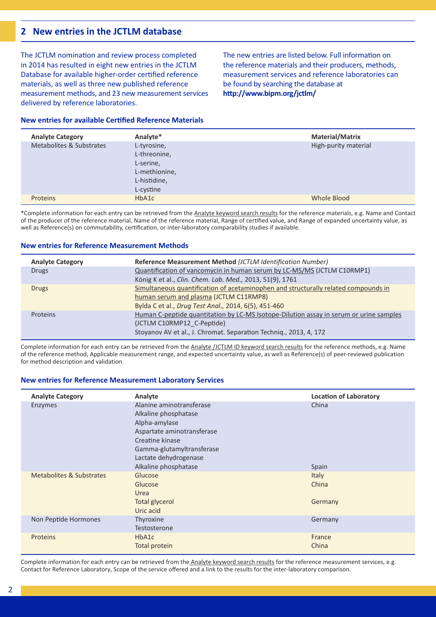# **2 New entries in the JCTLM database**

The JCTLM nomination and review process completed in 2014 has resulted in eight new entries in the JCTLM Database for available higher-order certified reference materials, as well as three new published reference measurement methods, and 23 new measurement services delivered by reference laboratories.

**New entries for available Certified Reference Materials**

The new entries are listed below. Full information on the reference materials and their producers, methods, measurement services and reference laboratories can be found by searching the database at **http://www.bipm.org/jctlm/**

| <b>Analyte Category</b>  | Analyte*                                                                  | <b>Material/Matrix</b> |
|--------------------------|---------------------------------------------------------------------------|------------------------|
| Metabolites & Substrates | L-tyrosine,<br>L-threonine,<br>L-serine,<br>L-methionine,<br>L-histidine, | High-purity material   |
|                          | L-cystine                                                                 |                        |
| <b>Proteins</b>          | HbA1c                                                                     | Whole Blood            |

\*Complete information for each entry can be retrieved from the [Analyte keyword search results](http://www.bipm.org/jctlm/) for the reference materials, e.g. Name and Contact of the producer of the reference material, Name of the reference material, Range of certified value, and Range of expanded uncertainty value, as well as Reference(s) on commutability, certification, or inter-laboratory comparability studies if available.

#### **New entries for Reference Measurement Methods**

| Reference Measurement Method (JCTLM Identification Number)                             |  |
|----------------------------------------------------------------------------------------|--|
| Quantification of vancomycin in human serum by LC-MS/MS (JCTLM C10RMP1)                |  |
| König K et al., Clin. Chem. Lab. Med., 2013, 51(9), 1761                               |  |
| Simultaneous quantification of acetaminophen and structurally related compounds in     |  |
| human serum and plasma (JCTLM C11RMP8)                                                 |  |
| Bylda C et al., Drug Test Anal., 2014, 6(5), 451-460                                   |  |
| Human C-peptide quantitation by LC-MS Isotope-Dilution assay in serum or urine samples |  |
| (JCTLM C10RMP12 C-Peptide)                                                             |  |
| Stoyanov AV et al., J. Chromat. Separation Techniq., 2013, 4, 172                      |  |
|                                                                                        |  |

Complete information for each entry can be retrieved from the [Analyte /JCTLM ID keyword search results](http://www.bipm.org/jctlm/) for the reference methods, e.g. Name of the reference method, Applicable measurement range, and expected uncertainty value, as well as Reference(s) of peer-reviewed publication for method description and validation.

#### **New entries for Reference Measurement Laboratory Services**

| <b>Analyte Category</b>  | Analyte                                                                                                                                                                                          | <b>Location of Laboratory</b>    |
|--------------------------|--------------------------------------------------------------------------------------------------------------------------------------------------------------------------------------------------|----------------------------------|
| Enzymes                  | Alanine aminotransferase<br>Alkaline phosphatase<br>Alpha-amylase<br>Aspartate aminotransferase<br>Creatine kinase<br>Gamma-glutamyltransferase<br>Lactate dehydrogenase<br>Alkaline phosphatase | China<br>Spain                   |
| Metabolites & Substrates | Glucose<br>Glucose<br>Urea<br><b>Total glycerol</b><br>Uric acid                                                                                                                                 | <b>Italy</b><br>China<br>Germany |
| Non Peptide Hormones     | Thyroxine<br>Testosterone                                                                                                                                                                        | Germany                          |
| <b>Proteins</b>          | HbA1c<br>Total protein                                                                                                                                                                           | France<br>China                  |

Complete information for each entry can be retrieved from the [Analyte keyword search results](http://www.bipm.org/jctlm/) for the reference measurement services, e.g. Contact for Reference Laboratory, Scope of the service offered and a link to the results for the inter-laboratory comparison.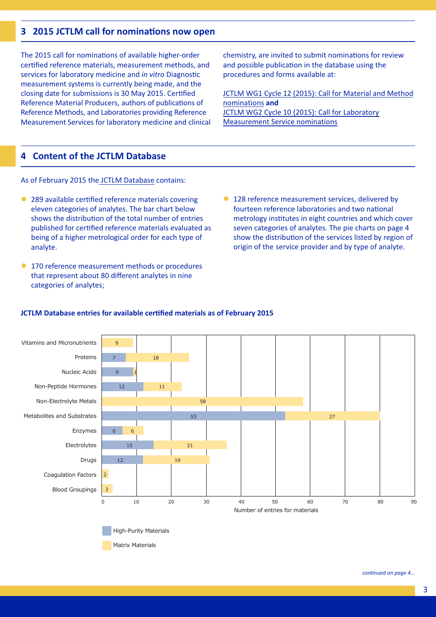# **3 2015 JCTLM call for nominations now open**

The 2015 call for nominations of available higher-order certified reference materials, measurement methods, and services for laboratory medicine and *in vitro* Diagnostic measurement systems is currently being made, and the closing date for submissions is 30 May 2015. Certified Reference Material Producers, authors of publications of Reference Methods, and Laboratories providing Reference Measurement Services for laboratory medicine and clinical chemistry, are invited to submit nominations for review and possible publication in the database using the procedures and forms available at:

[JCTLM WG1 Cycle 12 \(2015\): Call for Material and Method](http://www.bipm.org/en/committees/cc/wg/jctlm-wg1.html#nominations) nominations **and**  [JCTLM WG2 Cycle 10 \(2015\): Call for Laboratory](http://www.bipm.org/en/committees/cc/wg/jctlm-wg2.html#nominations)  Measurement Service nominations

# **4 Content of the JCTLM Database**

As of February 2015 the [JCTLM Database](http://www.bipm.org/jctlm/) contains:

- 289 available certified reference materials covering eleven categories of analytes. The bar chart below shows the distribution of the total number of entries published for certified reference materials evaluated as being of a higher metrological order for each type of analyte.
- **170 reference measurement methods or procedures** that represent about 80 different analytes in nine categories of analytes;
- **128 reference measurement services, delivered by** fourteen reference laboratories and two national metrology institutes in eight countries and which cover seven categories of analytes. The pie charts on page 4 show the distribution of the services listed by region of origin of the service provider and by type of analyte.

#### **JCTLM Database entries for available certified materials as of February 2015**